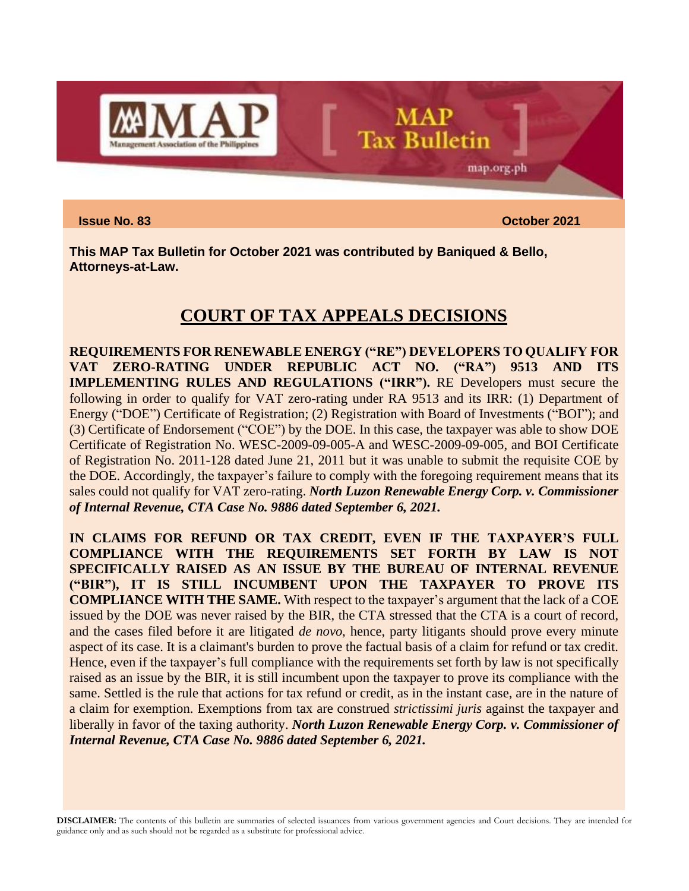

**Issue No. 83 October 2021**

map.org.ph

**This MAP Tax Bulletin for October 2021 was contributed by Baniqued & Bello, Attorneys-at-Law.**

## **COURT OF TAX APPEALS DECISIONS**

**MAP** 

**Tax Bulletin** 

**REQUIREMENTS FOR RENEWABLE ENERGY ("RE") DEVELOPERS TO QUALIFY FOR VAT ZERO-RATING UNDER REPUBLIC ACT NO. ("RA") 9513 AND ITS IMPLEMENTING RULES AND REGULATIONS ("IRR").** RE Developers must secure the following in order to qualify for VAT zero-rating under RA 9513 and its IRR: (1) Department of Energy ("DOE") Certificate of Registration; (2) Registration with Board of Investments ("BOI"); and (3) Certificate of Endorsement ("COE") by the DOE. In this case, the taxpayer was able to show DOE Certificate of Registration No. WESC-2009-09-005-A and WESC-2009-09-005, and BOI Certificate of Registration No. 2011-128 dated June 21, 2011 but it was unable to submit the requisite COE by the DOE. Accordingly, the taxpayer's failure to comply with the foregoing requirement means that its sales could not qualify for VAT zero-rating. *North Luzon Renewable Energy Corp. v. Commissioner of Internal Revenue, CTA Case No. 9886 dated September 6, 2021.*

**IN CLAIMS FOR REFUND OR TAX CREDIT, EVEN IF THE TAXPAYER'S FULL COMPLIANCE WITH THE REQUIREMENTS SET FORTH BY LAW IS NOT SPECIFICALLY RAISED AS AN ISSUE BY THE BUREAU OF INTERNAL REVENUE ("BIR"), IT IS STILL INCUMBENT UPON THE TAXPAYER TO PROVE ITS COMPLIANCE WITH THE SAME.** With respect to the taxpayer's argument that the lack of a COE issued by the DOE was never raised by the BIR, the CTA stressed that the CTA is a court of record, and the cases filed before it are litigated *de novo*, hence, party litigants should prove every minute aspect of its case. It is a claimant's burden to prove the factual basis of a claim for refund or tax credit. Hence, even if the taxpayer's full compliance with the requirements set forth by law is not specifically raised as an issue by the BIR, it is still incumbent upon the taxpayer to prove its compliance with the same. Settled is the rule that actions for tax refund or credit, as in the instant case, are in the nature of a claim for exemption. Exemptions from tax are construed *strictissimi juris* against the taxpayer and liberally in favor of the taxing authority. *North Luzon Renewable Energy Corp. v. Commissioner of Internal Revenue, CTA Case No. 9886 dated September 6, 2021.*

**DISCLAIMER:** The contents of this bulletin are summaries of selected issuances from various government agencies and Court decisions. They are intended for guidance only and as such should not be regarded as a substitute for professional advice.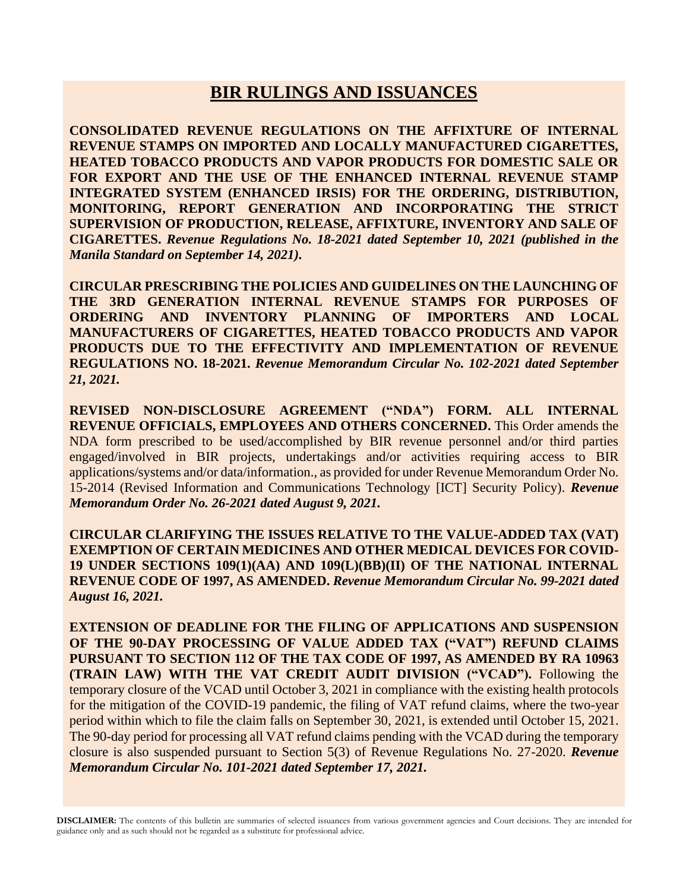## **BIR RULINGS AND ISSUANCES**

**CONSOLIDATED REVENUE REGULATIONS ON THE AFFIXTURE OF INTERNAL REVENUE STAMPS ON IMPORTED AND LOCALLY MANUFACTURED CIGARETTES, HEATED TOBACCO PRODUCTS AND VAPOR PRODUCTS FOR DOMESTIC SALE OR FOR EXPORT AND THE USE OF THE ENHANCED INTERNAL REVENUE STAMP INTEGRATED SYSTEM (ENHANCED IRSIS) FOR THE ORDERING, DISTRIBUTION, MONITORING, REPORT GENERATION AND INCORPORATING THE STRICT SUPERVISION OF PRODUCTION, RELEASE, AFFIXTURE, INVENTORY AND SALE OF CIGARETTES.** *Revenue Regulations No. 18-2021 dated September 10, 2021 (published in the Manila Standard on September 14, 2021).*

**CIRCULAR PRESCRIBING THE POLICIES AND GUIDELINES ON THE LAUNCHING OF THE 3RD GENERATION INTERNAL REVENUE STAMPS FOR PURPOSES OF ORDERING AND INVENTORY PLANNING OF IMPORTERS AND LOCAL MANUFACTURERS OF CIGARETTES, HEATED TOBACCO PRODUCTS AND VAPOR PRODUCTS DUE TO THE EFFECTIVITY AND IMPLEMENTATION OF REVENUE REGULATIONS NO. 18-2021.** *Revenue Memorandum Circular No. 102-2021 dated September 21, 2021.*

**REVISED NON-DISCLOSURE AGREEMENT ("NDA") FORM. ALL INTERNAL REVENUE OFFICIALS, EMPLOYEES AND OTHERS CONCERNED.** This Order amends the NDA form prescribed to be used/accomplished by BIR revenue personnel and/or third parties engaged/involved in BIR projects, undertakings and/or activities requiring access to BIR applications/systems and/or data/information., as provided for under Revenue Memorandum Order No. 15-2014 (Revised Information and Communications Technology [ICT] Security Policy). *Revenue Memorandum Order No. 26-2021 dated August 9, 2021.*

**CIRCULAR CLARIFYING THE ISSUES RELATIVE TO THE VALUE-ADDED TAX (VAT) EXEMPTION OF CERTAIN MEDICINES AND OTHER MEDICAL DEVICES FOR COVID-19 UNDER SECTIONS 109(1)(AA) AND 109(L)(BB)(II) OF THE NATIONAL INTERNAL REVENUE CODE OF 1997, AS AMENDED.** *Revenue Memorandum Circular No. 99-2021 dated August 16, 2021.*

**EXTENSION OF DEADLINE FOR THE FILING OF APPLICATIONS AND SUSPENSION OF THE 90-DAY PROCESSING OF VALUE ADDED TAX ("VAT") REFUND CLAIMS PURSUANT TO SECTION 112 OF THE TAX CODE OF 1997, AS AMENDED BY RA 10963 (TRAIN LAW) WITH THE VAT CREDIT AUDIT DIVISION ("VCAD").** Following the temporary closure of the VCAD until October 3, 2021 in compliance with the existing health protocols for the mitigation of the COVID-19 pandemic, the filing of VAT refund claims, where the two-year period within which to file the claim falls on September 30, 2021, is extended until October 15, 2021. The 90-day period for processing all VAT refund claims pending with the VCAD during the temporary closure is also suspended pursuant to Section 5(3) of Revenue Regulations No. 27-2020. *Revenue Memorandum Circular No. 101-2021 dated September 17, 2021.*

**DISCLAIMER:** The contents of this bulletin are summaries of selected issuances from various government agencies and Court decisions. They are intended for guidance only and as such should not be regarded as a substitute for professional advice.